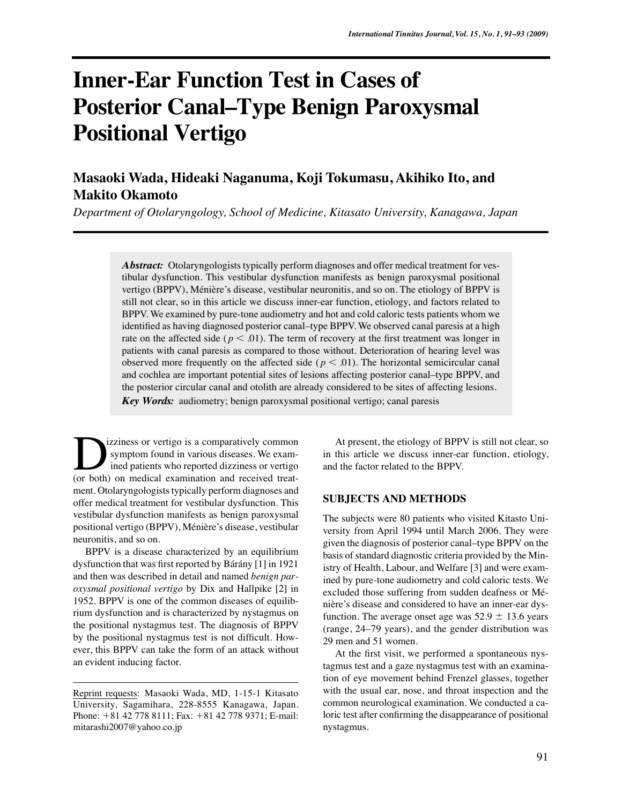# **Inner-Ear Function Test in Cases of Posterior Canal–Type Benign Paroxysmal Positional Vertigo**

**Masaoki Wada, Hideaki Naganuma, Koji Tokumasu, Akihiko Ito, and Makito Okamoto**

*Department of Otolaryngology, School of Medicine, Kitasato University, Kanagawa, Japan*

*Abstract:* Otolaryngologists typically perform diagnoses and offer medical treatment for vestibular dysfunction. This vestibular dysfunction manifests as benign paroxysmal positional vertigo (BPPV), Ménière's disease, vestibular neuronitis, and so on. The etiology of BPPV is still not clear, so in this article we discuss inner-ear function, etiology, and factors related to BPPV. We examined by pure-tone audiometry and hot and cold caloric tests patients whom we identified as having diagnosed posterior canal–type BPPV. We observed canal paresis at a high rate on the affected side ( $p < .01$ ). The term of recovery at the first treatment was longer in patients with canal paresis as compared to those without. Deterioration of hearing level was observed more frequently on the affected side ( $p < .01$ ). The horizontal semicircular canal and cochlea are important potential sites of lesions affecting posterior canal–type BPPV, and the posterior circular canal and otolith are already considered to be sites of affecting lesions.

*Key Words:* audiometry; benign paroxysmal positional vertigo; canal paresis

izziness or vertigo is a comparatively common symptom found in various diseases. We examined patients who reported dizziness or vertigo Izziness or vertigo is a comparatively common<br>symptom found in various diseases. We exam-<br>ined patients who reported dizziness or vertigo<br>(or both) on medical examination and received treatment. Otolaryngologists typically perform diagnoses and offer medical treatment for vestibular dysfunction. This vestibular dysfunction manifests as benign paroxysmal positional vertigo (BPPV), Ménière's disease, vestibular neuronitis, and so on.

BPPV is a disease characterized by an equilibrium dysfunction that was first reported by Bárány [1] in 1921 and then was described in detail and named *benign paroxysmal positional vertigo* by Dix and Hallpike [2] in 1952. BPPV is one of the common diseases of equilibrium dysfunction and is characterized by nystagmus on the positional nystagmus test. The diagnosis of BPPV by the positional nystagmus test is not difficult. However, this BPPV can take the form of an attack without an evident inducing factor.

At present, the etiology of BPPV is still not clear, so in this article we discuss inner-ear function, etiology, and the factor related to the BPPV.

## **SUBJECTS AND METHODS**

The subjects were 80 patients who visited Kitasto University from April 1994 until March 2006. They were given the diagnosis of posterior canal–type BPPV on the basis of standard diagnostic criteria provided by the Ministry of Health, Labour, and Welfare [3] and were examined by pure-tone audiometry and cold caloric tests. We excluded those suffering from sudden deafness or Ménière's disease and considered to have an inner-ear dysfunction. The average onset age was  $52.9 \pm 13.6$  years (range, 24–79 years), and the gender distribution was 29 men and 51 women.

At the first visit, we performed a spontaneous nystagmus test and a gaze nystagmus test with an examination of eye movement behind Frenzel glasses, together with the usual ear, nose, and throat inspection and the common neurological examination. We conducted a caloric test after confirming the disappearance of positional nystagmus.

Reprint requests: Masaoki Wada, MD, 1-15-1 Kitasato University, Sagamihara, 228-8555 Kanagawa, Japan. Phone: +81 42 778 8111; Fax: +81 42 778 9371; E-mail: mitarashi2007@yahoo.co.jp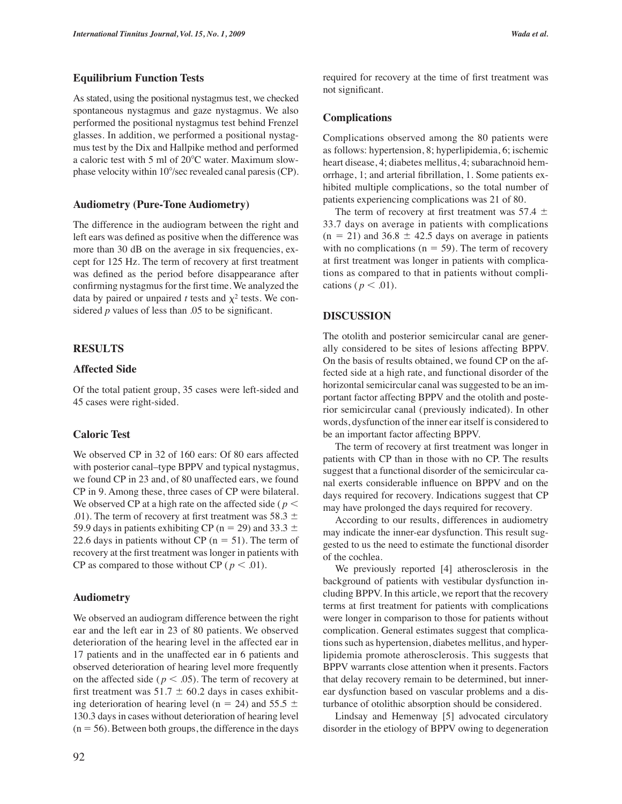# **Equilibrium Function Tests**

As stated, using the positional nystagmus test, we checked spontaneous nystagmus and gaze nystagmus. We also performed the positional nystagmus test behind Frenzel glasses. In addition, we performed a positional nystagmus test by the Dix and Hallpike method and performed a caloric test with 5 ml of  $20^{\circ}$ C water. Maximum slowphase velocity within 10°/sec revealed canal paresis (CP).

#### **Audiometry (Pure-Tone Audiometry)**

The difference in the audiogram between the right and left ears was defined as positive when the difference was more than 30 dB on the average in six frequencies, except for 125 Hz. The term of recovery at first treatment was defined as the period before disappearance after confirming nystagmus for the first time. We analyzed the data by paired or unpaired *t* tests and  $\chi^2$  tests. We considered *p* values of less than .05 to be significant.

# **RESULTS**

## **Affected Side**

Of the total patient group, 35 cases were left-sided and 45 cases were right-sided.

## **Caloric Test**

We observed CP in 32 of 160 ears: Of 80 ears affected with posterior canal–type BPPV and typical nystagmus, we found CP in 23 and, of 80 unaffected ears, we found CP in 9. Among these, three cases of CP were bilateral. We observed CP at a high rate on the affected side ( $p <$ .01). The term of recovery at first treatment was 58.3  $\pm$ 59.9 days in patients exhibiting CP ( $n = 29$ ) and 33.3  $\pm$ 22.6 days in patients without CP ( $n = 51$ ). The term of recovery at the first treatment was longer in patients with CP as compared to those without CP ( $p < .01$ ).

### **Audiometry**

We observed an audiogram difference between the right ear and the left ear in 23 of 80 patients. We observed deterioration of the hearing level in the affected ear in 17 patients and in the unaffected ear in 6 patients and observed deterioration of hearing level more frequently on the affected side ( $p < .05$ ). The term of recovery at first treatment was  $51.7 \pm 60.2$  days in cases exhibiting deterioration of hearing level (n = 24) and 55.5  $\pm$ 130.3 days in cases without deterioration of hearing level  $(n = 56)$ . Between both groups, the difference in the days

92

required for recovery at the time of first treatment was not significant.

### **Complications**

Complications observed among the 80 patients were as follows: hypertension, 8; hyperlipidemia, 6; ischemic heart disease, 4; diabetes mellitus, 4; subarachnoid hemorrhage, 1; and arterial fibrillation, 1. Some patients exhibited multiple complications, so the total number of patients experiencing complications was 21 of 80.

The term of recovery at first treatment was 57.4  $\pm$ 33.7 days on average in patients with complications  $(n = 21)$  and 36.8  $\pm$  42.5 days on average in patients with no complications ( $n = 59$ ). The term of recovery at first treatment was longer in patients with complications as compared to that in patients without complications ( $p < .01$ ).

## **DISCUSSION**

The otolith and posterior semicircular canal are generally considered to be sites of lesions affecting BPPV. On the basis of results obtained, we found CP on the affected side at a high rate, and functional disorder of the horizontal semicircular canal was suggested to be an important factor affecting BPPV and the otolith and posterior semicircular canal (previously indicated). In other words, dysfunction of the inner ear itself is considered to be an important factor affecting BPPV.

The term of recovery at first treatment was longer in patients with CP than in those with no CP. The results suggest that a functional disorder of the semicircular canal exerts considerable influence on BPPV and on the days required for recovery. Indications suggest that CP may have prolonged the days required for recovery.

According to our results, differences in audiometry may indicate the inner-ear dysfunction. This result suggested to us the need to estimate the functional disorder of the cochlea.

We previously reported [4] atherosclerosis in the background of patients with vestibular dysfunction including BPPV. In this article, we report that the recovery terms at first treatment for patients with complications were longer in comparison to those for patients without complication. General estimates suggest that complications such as hypertension, diabetes mellitus, and hyperlipidemia promote atherosclerosis. This suggests that BPPV warrants close attention when it presents. Factors that delay recovery remain to be determined, but innerear dysfunction based on vascular problems and a disturbance of otolithic absorption should be considered.

Lindsay and Hemenway [5] advocated circulatory disorder in the etiology of BPPV owing to degeneration